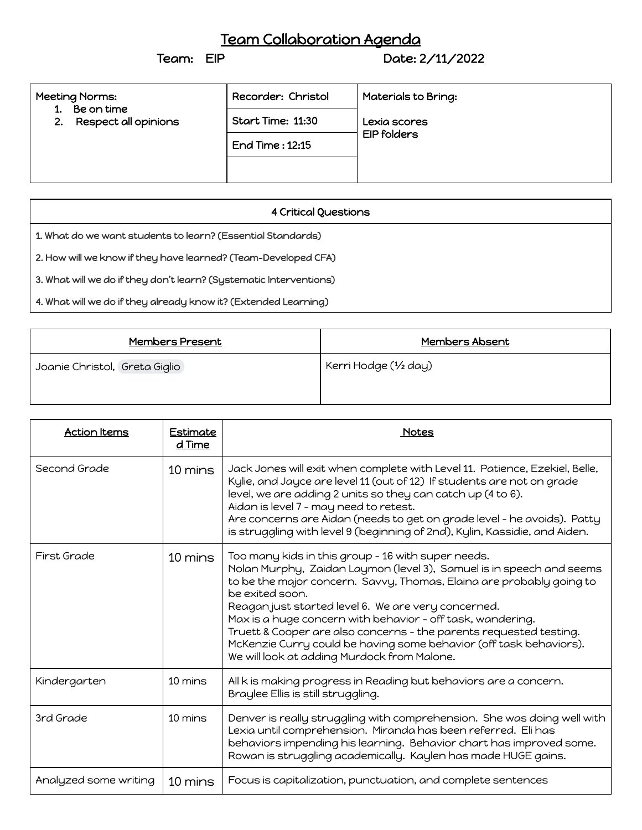## Team Collaboration Agenda<br>Team: EIP Date: 2

Date: 2/11/2022

| Meeting Norms:<br>Be on time<br>1.<br>2. Respect all opinions | Recorder: Christol<br>Start Time: 11:30 | Materials to Bring:<br>Lexia scores<br><b>EIP folders</b> |
|---------------------------------------------------------------|-----------------------------------------|-----------------------------------------------------------|
|                                                               | <b>End Time: 12:15</b>                  |                                                           |
|                                                               |                                         |                                                           |

| <b>4 Critical Questions</b>                                        |  |  |  |
|--------------------------------------------------------------------|--|--|--|
| 1. What do we want students to learn? (Essential Standards)        |  |  |  |
| 2. How will we know if they have learned? (Team-Developed CFA)     |  |  |  |
| 3. What will we do if they don't learn? (Systematic Interventions) |  |  |  |
| 4. What will we do if they already know it? (Extended Learning)    |  |  |  |

| <u>Members Present</u>        | <u>Members Absent</u> |
|-------------------------------|-----------------------|
| Joanie Christol, Greta Giglio | Kerri Hodge (1/2 day) |

| <b>Action Items</b>   | <b>Estimate</b><br>d Time | Notes                                                                                                                                                                                                                                                                                                                                                                                                                                                                                                                                 |
|-----------------------|---------------------------|---------------------------------------------------------------------------------------------------------------------------------------------------------------------------------------------------------------------------------------------------------------------------------------------------------------------------------------------------------------------------------------------------------------------------------------------------------------------------------------------------------------------------------------|
| Second Grade          | 10 mins                   | Jack Jones will exit when complete with Level 11. Patience, Ezekiel, Belle,<br>Kylie, and Jayce are level 11 (out of 12) If students are not on grade<br>level, we are adding 2 units so they can catch up (4 to 6).<br>Aidan is level 7 - may need to retest.<br>Are concerns are Aidan (needs to get on grade level - he avoids). Patty<br>is struggling with level 9 (beginning of 2nd), Kylin, Kassidie, and Aiden.                                                                                                               |
| First Grade           | 10 mins                   | Too many kids in this group - 16 with super needs.<br>Nolan Murphy, Zaidan Laymon (level 3), Samuel is in speech and seems<br>to be the major concern. Savvy, Thomas, Elaina are probably going to<br>be exited soon.<br>Reagan just started level 6. We are very concerned.<br>Max is a huge concern with behavior - off task, wandering.<br>Truett & Cooper are also concerns - the parents requested testing.<br>McKenzie Curry could be having some behavior (off task behaviors).<br>We will look at adding Murdock from Malone. |
| Kindergarten          | 10 mins                   | All k is making progress in Reading but behaviors are a concern.<br>Braylee Ellis is still struggling.                                                                                                                                                                                                                                                                                                                                                                                                                                |
| 3rd Grade             | 10 mins                   | Denver is really struggling with comprehension. She was doing well with<br>Lexia until comprehension. Miranda has been referred. Eli has<br>behaviors impending his learning. Behavior chart has improved some.<br>Rowan is struggling academically. Kaylen has made HUGE gains.                                                                                                                                                                                                                                                      |
| Analyzed some writing | 10 mins                   | Focus is capitalization, punctuation, and complete sentences                                                                                                                                                                                                                                                                                                                                                                                                                                                                          |